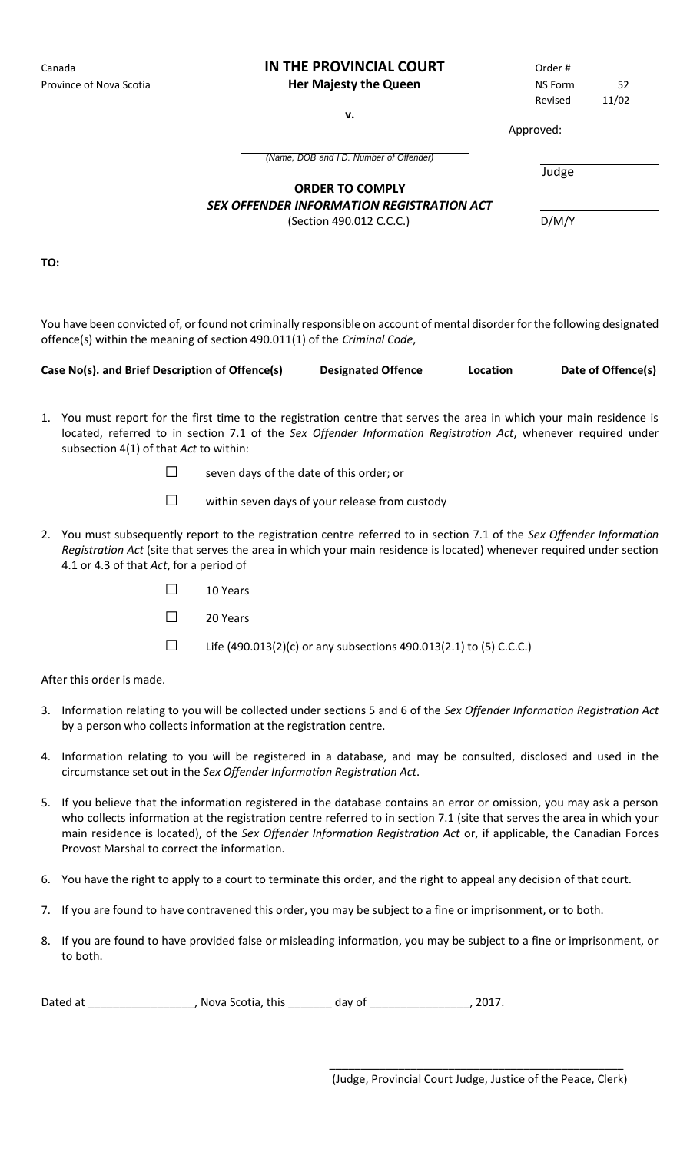# Canada **IN THE PROVINCIAL COURT** Order #

Province of Nova Scotia **Her Majesty the Queen** NS Form 52

Revised 11/02

**v.**

*(Name, DOB and I.D. Number of Offender)*

# **ORDER TO COMPLY** *SEX OFFENDER INFORMATION REGISTRATION ACT*

(Section 490.012 C.C.C.) D/M/Y

Judge

Approved:

**TO:**

You have been convicted of, or found not criminally responsible on account of mental disorder for the following designated offence(s) within the meaning of section 490.011(1) of the *Criminal Code*,

| Case No(s). and Brief Description of Offence(s) | <b>Designated Offence</b> | Location | Date of Offence(s) |
|-------------------------------------------------|---------------------------|----------|--------------------|
|-------------------------------------------------|---------------------------|----------|--------------------|

- 1. You must report for the first time to the registration centre that serves the area in which your main residence is located, referred to in section 7.1 of the *Sex Offender Information Registration Act*, whenever required under subsection 4(1) of that *Act* to within:
	- $\square$  seven days of the date of this order; or
	- $\square$  within seven days of your release from custody
- 2. You must subsequently report to the registration centre referred to in section 7.1 of the *Sex Offender Information Registration Act* (site that serves the area in which your main residence is located) whenever required under section 4.1 or 4.3 of that *Act*, for a period of
	- □ 10 Years
	- □ 20 Years
	- $\Box$  Life (490.013(2)(c) or any subsections 490.013(2.1) to (5) C.C.C.)

After this order is made.

- 3. Information relating to you will be collected under sections 5 and 6 of the *Sex Offender Information Registration Act* by a person who collects information at the registration centre.
- 4. Information relating to you will be registered in a database, and may be consulted, disclosed and used in the circumstance set out in the *Sex Offender Information Registration Act*.
- 5. If you believe that the information registered in the database contains an error or omission, you may ask a person who collects information at the registration centre referred to in section 7.1 (site that serves the area in which your main residence is located), of the *Sex Offender Information Registration Act* or, if applicable, the Canadian Forces Provost Marshal to correct the information.
- 6. You have the right to apply to a court to terminate this order, and the right to appeal any decision of that court.
- 7. If you are found to have contravened this order, you may be subject to a fine or imprisonment, or to both.
- 8. If you are found to have provided false or misleading information, you may be subject to a fine or imprisonment, or to both.

| Dated at | Nova Scotia, this | dav of | 2017. |
|----------|-------------------|--------|-------|
|----------|-------------------|--------|-------|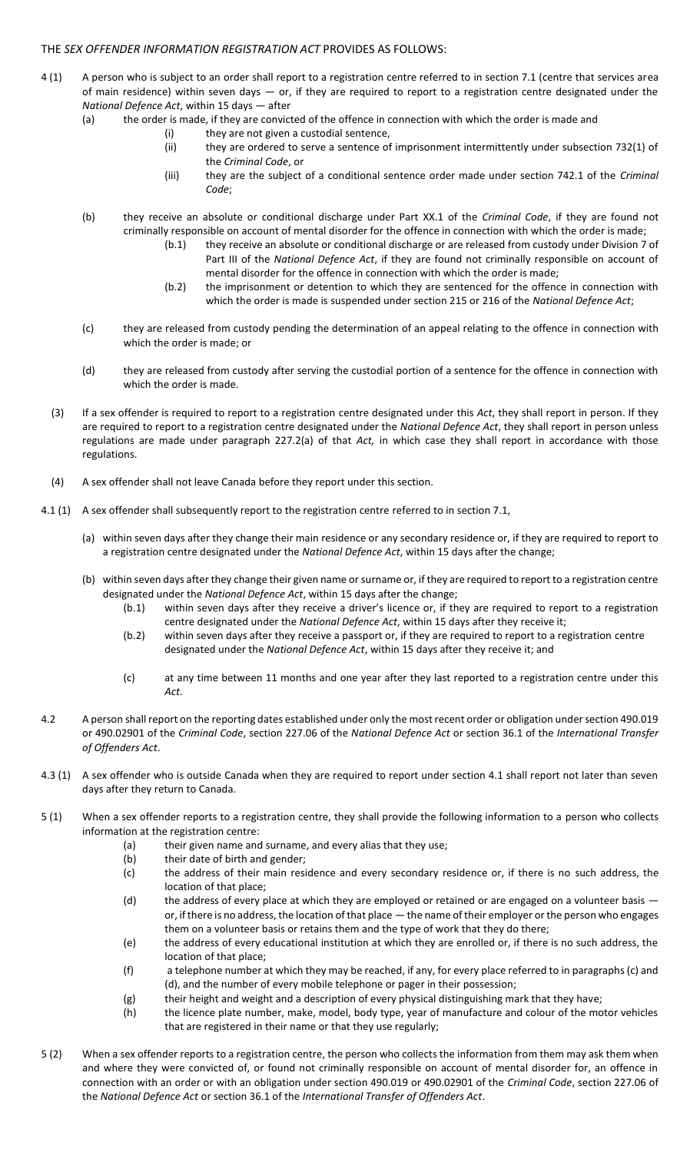#### THE *SEX OFFENDER INFORMATION REGISTRATION ACT* PROVIDES AS FOLLOWS:

- 4 (1) A person who is subject to an order shall report to a registration centre referred to in section 7.1 (centre that services area of main residence) within seven days — or, if they are required to report to a registration centre designated under the *National Defence Act*, within 15 days — after
	- (a) the order is made, if they are convicted of the offence in connection with which the order is made and
		- (i) they are not given a custodial sentence, (ii) they are ordered to serve a sentence of imprisonment intermittently under subsection 732(1) of
			- the *Criminal Code*, or (iii) they are the subject of a conditional sentence order made under section 742.1 of the *Criminal Code*;
	- (b) they receive an absolute or conditional discharge under Part XX.1 of the *Criminal Code*, if they are found not criminally responsible on account of mental disorder for the offence in connection with which the order is made;
		- (b.1) they receive an absolute or conditional discharge or are released from custody under Division 7 of Part III of the *National Defence Act*, if they are found not criminally responsible on account of mental disorder for the offence in connection with which the order is made;
		- (b.2) the imprisonment or detention to which they are sentenced for the offence in connection with which the order is made is suspended under section 215 or 216 of the *National Defence Act*;
	- (c) they are released from custody pending the determination of an appeal relating to the offence in connection with which the order is made; or
	- (d) they are released from custody after serving the custodial portion of a sentence for the offence in connection with which the order is made.
	- (3) If a sex offender is required to report to a registration centre designated under this *Act*, they shall report in person. If they are required to report to a registration centre designated under the *National Defence Act*, they shall report in person unless regulations are made under paragraph 227.2(a) of that *Act,* in which case they shall report in accordance with those regulations.
- (4) A sex offender shall not leave Canada before they report under this section.
- 4.1 (1) A sex offender shall subsequently report to the registration centre referred to in section 7.1,
	- (a) within seven days after they change their main residence or any secondary residence or, if they are required to report to a registration centre designated under the *National Defence Act*, within 15 days after the change;
	- (b) within seven days after they change their given name or surname or, if they are required to report to a registration centre designated under the *National Defence Act*, within 15 days after the change;
		- (b.1) within seven days after they receive a driver's licence or, if they are required to report to a registration centre designated under the *National Defence Act*, within 15 days after they receive it;
		- (b.2) within seven days after they receive a passport or, if they are required to report to a registration centre designated under the *National Defence Act*, within 15 days after they receive it; and
		- (c) at any time between 11 months and one year after they last reported to a registration centre under this *Act*.
- 4.2 A person shall report on the reporting dates established under only the most recent order or obligation under section 490.019 or 490.02901 of the *Criminal Code*, section 227.06 of the *National Defence Act* or section 36.1 of the *International Transfer of Offenders Act*.
- 4.3 (1) A sex offender who is outside Canada when they are required to report under section 4.1 shall report not later than seven days after they return to Canada.
- 5 (1) When a sex offender reports to a registration centre, they shall provide the following information to a person who collects information at the registration centre:
	- (a) their given name and surname, and every alias that they use;
	- (b) their date of birth and gender;
	- (c) the address of their main residence and every secondary residence or, if there is no such address, the location of that place;
	- (d) the address of every place at which they are employed or retained or are engaged on a volunteer basis or, if there is no address, the location of that place — the name of their employer or the person who engages them on a volunteer basis or retains them and the type of work that they do there;
	- (e) the address of every educational institution at which they are enrolled or, if there is no such address, the location of that place;
	- (f) a telephone number at which they may be reached, if any, for every place referred to in paragraphs (c) and (d), and the number of every mobile telephone or pager in their possession;
	- (g) their height and weight and a description of every physical distinguishing mark that they have;
	- (h) the licence plate number, make, model, body type, year of manufacture and colour of the motor vehicles that are registered in their name or that they use regularly;
- 5 (2) When a sex offender reports to a registration centre, the person who collects the information from them may ask them when and where they were convicted of, or found not criminally responsible on account of mental disorder for, an offence in connection with an order or with an obligation under section 490.019 or 490.02901 of the *Criminal Code*, section 227.06 of the *National Defence Act* or section 36.1 of the *International Transfer of Offenders Act*.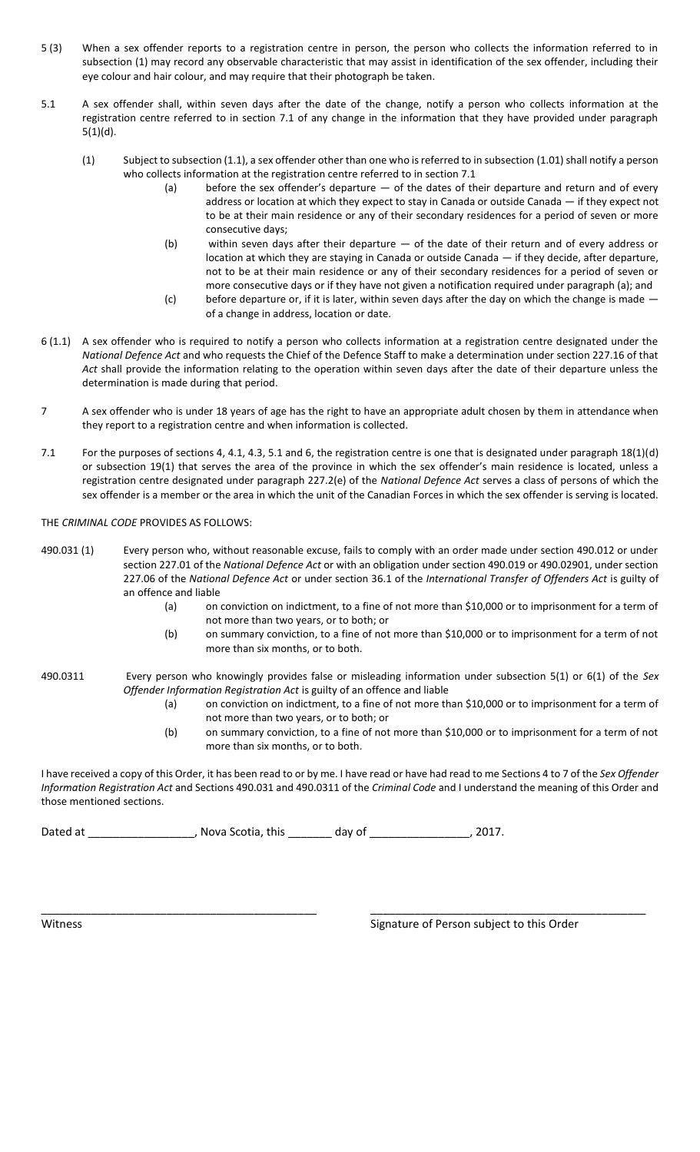- 5 (3) When a sex offender reports to a registration centre in person, the person who collects the information referred to in subsection (1) may record any observable characteristic that may assist in identification of the sex offender, including their eye colour and hair colour, and may require that their photograph be taken.
- 5.1 A sex offender shall, within seven days after the date of the change, notify a person who collects information at the registration centre referred to in section 7.1 of any change in the information that they have provided under paragraph 5(1)(d).
	- (1) Subject to subsection (1.1), a sex offender other than one who is referred to in subsection (1.01) shall notify a person who collects information at the registration centre referred to in section 7.1
		- (a) before the sex offender's departure of the dates of their departure and return and of every address or location at which they expect to stay in Canada or outside Canada — if they expect not to be at their main residence or any of their secondary residences for a period of seven or more consecutive days;
		- (b) within seven days after their departure of the date of their return and of every address or location at which they are staying in Canada or outside Canada — if they decide, after departure, not to be at their main residence or any of their secondary residences for a period of seven or more consecutive days or if they have not given a notification required under paragraph (a); and
		- (c) before departure or, if it is later, within seven days after the day on which the change is made of a change in address, location or date.
- 6 (1.1) A sex offender who is required to notify a person who collects information at a registration centre designated under the *National Defence Act* and who requests the Chief of the Defence Staff to make a determination under section 227.16 of that *Act* shall provide the information relating to the operation within seven days after the date of their departure unless the determination is made during that period.
- 7 A sex offender who is under 18 years of age has the right to have an appropriate adult chosen by them in attendance when they report to a registration centre and when information is collected.
- 7.1 For the purposes of sections 4, 4.1, 4.3, 5.1 and 6, the registration centre is one that is designated under paragraph 18(1)(d) or subsection 19(1) that serves the area of the province in which the sex offender's main residence is located, unless a registration centre designated under paragraph 227.2(e) of the *National Defence Act* serves a class of persons of which the sex offender is a member or the area in which the unit of the Canadian Forces in which the sex offender is serving is located.

## THE *CRIMINAL CODE* PROVIDES AS FOLLOWS:

- 490.031 (1) Every person who, without reasonable excuse, fails to comply with an order made under section 490.012 or under section 227.01 of the *National Defence Act* or with an obligation under section 490.019 or 490.02901, under section 227.06 of the *National Defence Act* or under section 36.1 of the *International Transfer of Offenders Act* is guilty of an offence and liable
	- (a) on conviction on indictment, to a fine of not more than \$10,000 or to imprisonment for a term of not more than two years, or to both; or
	- (b) on summary conviction, to a fine of not more than \$10,000 or to imprisonment for a term of not more than six months, or to both.

#### 490.0311 Every person who knowingly provides false or misleading information under subsection 5(1) or 6(1) of the *Sex Offender Information Registration Act* is guilty of an offence and liable

- (a) on conviction on indictment, to a fine of not more than \$10,000 or to imprisonment for a term of not more than two years, or to both; or
- (b) on summary conviction, to a fine of not more than \$10,000 or to imprisonment for a term of not more than six months, or to both.

I have received a copy of this Order, it has been read to or by me. I have read or have had read to me Sections 4 to 7 of the *Sex Offender Information Registration Act* and Sections 490.031 and 490.0311 of the *Criminal Code* and I understand the meaning of this Order and those mentioned sections.

\_\_\_\_\_\_\_\_\_\_\_\_\_\_\_\_\_\_\_\_\_\_\_\_\_\_\_\_\_\_\_\_\_\_\_\_\_\_\_\_\_\_\_\_ \_\_\_\_\_\_\_\_\_\_\_\_\_\_\_\_\_\_\_\_\_\_\_\_\_\_\_\_\_\_\_\_\_\_\_\_\_\_\_\_\_\_\_\_

| Dated at | . Nova Scotia, this | dav of | 2017 |
|----------|---------------------|--------|------|
|----------|---------------------|--------|------|

Witness **Signature of Person subject to this Order** Signature of Person subject to this Order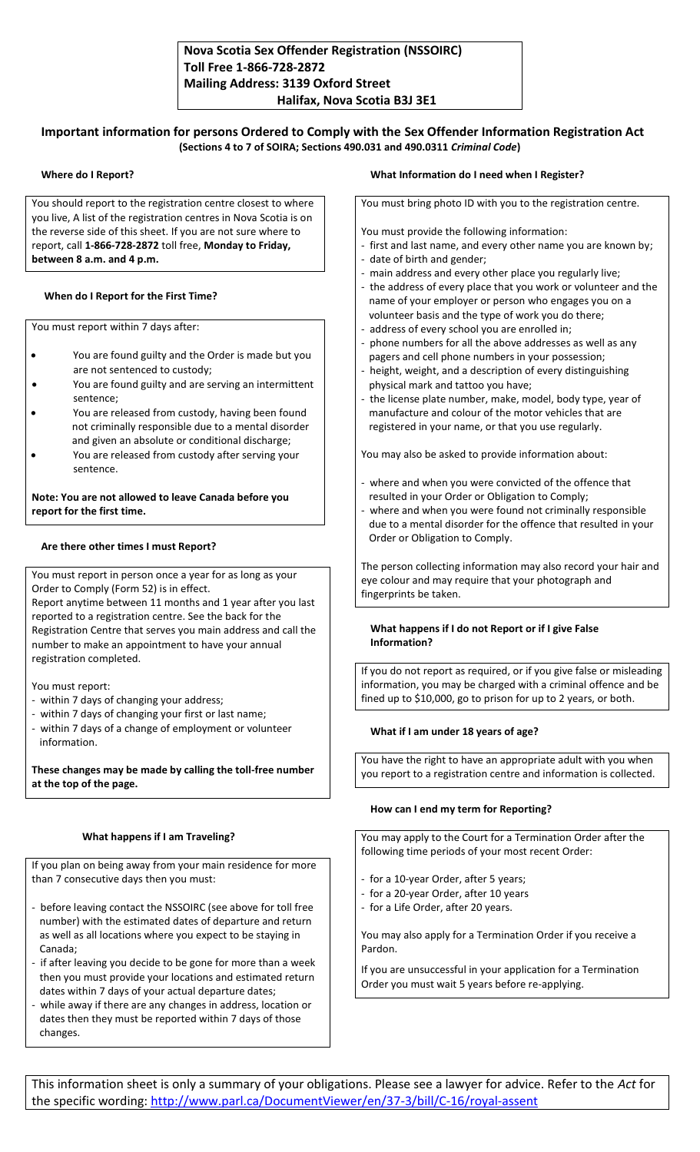# **Nova Scotia Sex Offender Registration (NSSOIRC) Toll Free 1-866-728-2872 Mailing Address: 3139 Oxford Street Halifax, Nova Scotia B3J 3E1**

# **Important information for persons Ordered to Comply with the Sex Offender Information Registration Act (Sections 4 to 7 of SOIRA; Sections 490.031 and 490.0311** *Criminal Code***)**

#### **Where do I Report?**

You should report to the registration centre closest to where you live, A list of the registration centres in Nova Scotia is on the reverse side of this sheet. If you are not sure where to report, call **1-866-728-2872** toll free, **Monday to Friday, between 8 a.m. and 4 p.m.** 

### **When do I Report for the First Time?**

You must report within 7 days after:

- You are found guilty and the Order is made but you are not sentenced to custody;
- You are found guilty and are serving an intermittent sentence;
- You are released from custody, having been found not criminally responsible due to a mental disorder and given an absolute or conditional discharge;
- You are released from custody after serving your sentence.

**Note: You are not allowed to leave Canada before you report for the first time.**

#### **Are there other times I must Report?**

You must report in person once a year for as long as your Order to Comply (Form 52) is in effect. Report anytime between 11 months and 1 year after you last reported to a registration centre. See the back for the Registration Centre that serves you main address and call the number to make an appointment to have your annual registration completed.

You must report:

- within 7 days of changing your address;
- within 7 days of changing your first or last name;
- within 7 days of a change of employment or volunteer information.

**These changes may be made by calling the toll-free number at the top of the page.**

### **What happens if I am Traveling?**

If you plan on being away from your main residence for more than 7 consecutive days then you must:

- before leaving contact the NSSOIRC (see above for toll free number) with the estimated dates of departure and return as well as all locations where you expect to be staying in Canada;
- if after leaving you decide to be gone for more than a week then you must provide your locations and estimated return dates within 7 days of your actual departure dates;
- while away if there are any changes in address, location or dates then they must be reported within 7 days of those changes.

#### **What Information do I need when I Register?**

You must bring photo ID with you to the registration centre.

You must provide the following information:

- first and last name, and every other name you are known by; - date of birth and gender;
- main address and every other place you regularly live;
- the address of every place that you work or volunteer and the name of your employer or person who engages you on a volunteer basis and the type of work you do there;
- address of every school you are enrolled in;
- phone numbers for all the above addresses as well as any pagers and cell phone numbers in your possession;
- height, weight, and a description of every distinguishing physical mark and tattoo you have;
- the license plate number, make, model, body type, year of manufacture and colour of the motor vehicles that are registered in your name, or that you use regularly.

You may also be asked to provide information about:

- where and when you were convicted of the offence that resulted in your Order or Obligation to Comply;
- where and when you were found not criminally responsible due to a mental disorder for the offence that resulted in your Order or Obligation to Comply.

The person collecting information may also record your hair and eye colour and may require that your photograph and fingerprints be taken.

#### **What happens if I do not Report or if I give False Information?**

If you do not report as required, or if you give false or misleading information, you may be charged with a criminal offence and be fined up to \$10,000, go to prison for up to 2 years, or both.

### **What if I am under 18 years of age?**

You have the right to have an appropriate adult with you when you report to a registration centre and information is collected.

### **How can I end my term for Reporting?**

You may apply to the Court for a Termination Order after the following time periods of your most recent Order:

- for a 10-year Order, after 5 years;
- for a 20-year Order, after 10 years
- for a Life Order, after 20 years.

You may also apply for a Termination Order if you receive a Pardon.

If you are unsuccessful in your application for a Termination Order you must wait 5 years before re-applying.

This information sheet is only a summary of your obligations. Please see a lawyer for advice. Refer to the *Act* for the specific wording:<http://www.parl.ca/DocumentViewer/en/37-3/bill/C-16/royal-assent>